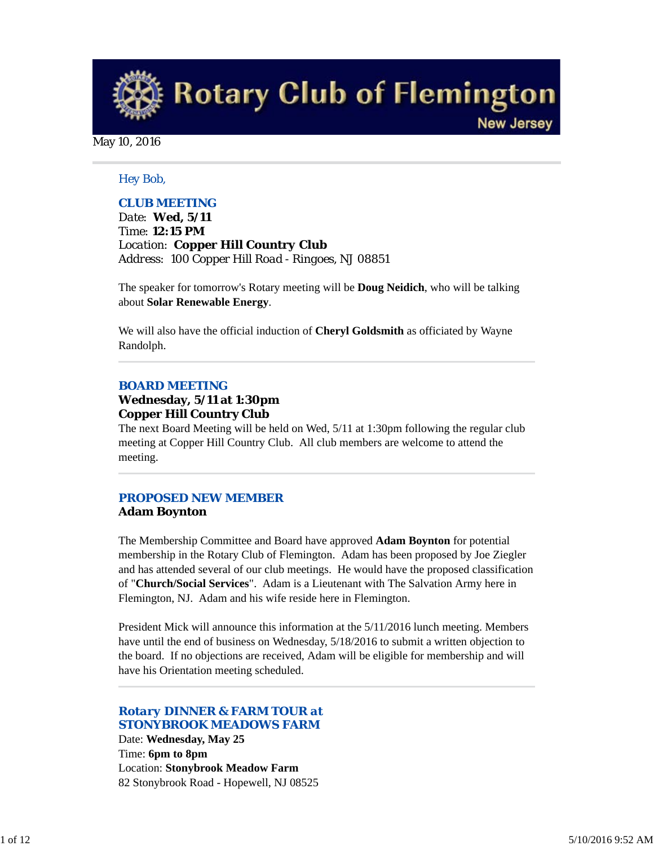**Rotary Club of Flemington New Jersey** 

May 10, 2016

#### *Hey Bob,*

#### *CLUB MEETING*

*Date: Wed, 5/11 Time: 12:15 PM Location: Copper Hill Country Club Address: 100 Copper Hill Road - Ringoes, NJ 08851*

The speaker for tomorrow's Rotary meeting will be **Doug Neidich**, who will be talking about **Solar Renewable Energy**.

We will also have the official induction of **Cheryl Goldsmith** as officiated by Wayne Randolph.

#### *BOARD MEETING*

#### **Wednesday, 5/11 at 1:30pm Copper Hill Country Club**

The next Board Meeting will be held on Wed, 5/11 at 1:30pm following the regular club meeting at Copper Hill Country Club. All club members are welcome to attend the meeting.

## *PROPOSED NEW MEMBER* **Adam Boynton**

The Membership Committee and Board have approved **Adam Boynton** for potential membership in the Rotary Club of Flemington. Adam has been proposed by Joe Ziegler and has attended several of our club meetings. He would have the proposed classification of "**Church/Social Services**". Adam is a Lieutenant with The Salvation Army here in Flemington, NJ. Adam and his wife reside here in Flemington.

President Mick will announce this information at the 5/11/2016 lunch meeting. Members have until the end of business on Wednesday, 5/18/2016 to submit a written objection to the board. If no objections are received, Adam will be eligible for membership and will have his Orientation meeting scheduled.

## *Rotary DINNER & FARM TOUR at STONYBROOK MEADOWS FARM*

Date: **Wednesday, May 25** Time: **6pm to 8pm** Location: **Stonybrook Meadow Farm** 82 Stonybrook Road - Hopewell, NJ 08525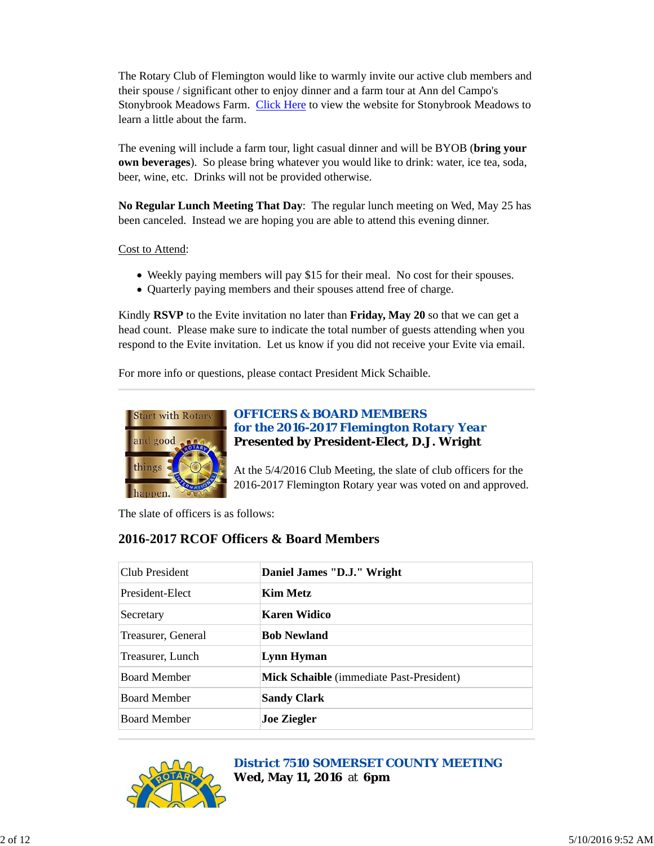The Rotary Club of Flemington would like to warmly invite our active club members and their spouse / significant other to enjoy dinner and a farm tour at Ann del Campo's Stonybrook Meadows Farm. Click Here to view the website for Stonybrook Meadows to learn a little about the farm.

The evening will include a farm tour, light casual dinner and will be BYOB (**bring your own beverages**). So please bring whatever you would like to drink: water, ice tea, soda, beer, wine, etc. Drinks will not be provided otherwise.

**No Regular Lunch Meeting That Day**: The regular lunch meeting on Wed, May 25 has been canceled. Instead we are hoping you are able to attend this evening dinner.

Cost to Attend:

- Weekly paying members will pay \$15 for their meal. No cost for their spouses.
- Quarterly paying members and their spouses attend free of charge.

Kindly **RSVP** to the Evite invitation no later than **Friday, May 20** so that we can get a head count. Please make sure to indicate the total number of guests attending when you respond to the Evite invitation. Let us know if you did not receive your Evite via email.

For more info or questions, please contact President Mick Schaible.



## *OFFICERS & BOARD MEMBERS for the 2016-2017 Flemington Rotary Year* **Presented by President-Elect, D.J. Wright**

At the 5/4/2016 Club Meeting, the slate of club officers for the 2016-2017 Flemington Rotary year was voted on and approved.

The slate of officers is as follows:

# **2016-2017 RCOF Officers & Board Members**

| Club President      | Daniel James "D.J." Wright               |  |
|---------------------|------------------------------------------|--|
| President-Elect     | <b>Kim Metz</b>                          |  |
| Secretary           | Karen Widico                             |  |
| Treasurer, General  | <b>Bob Newland</b>                       |  |
| Treasurer, Lunch    | Lynn Hyman                               |  |
| <b>Board Member</b> | Mick Schaible (immediate Past-President) |  |
| <b>Board Member</b> | <b>Sandy Clark</b>                       |  |
| <b>Board Member</b> | <b>Joe Ziegler</b>                       |  |



#### *District 7510 SOMERSET COUNTY MEETING* **Wed, May 11, 2016** at **6pm**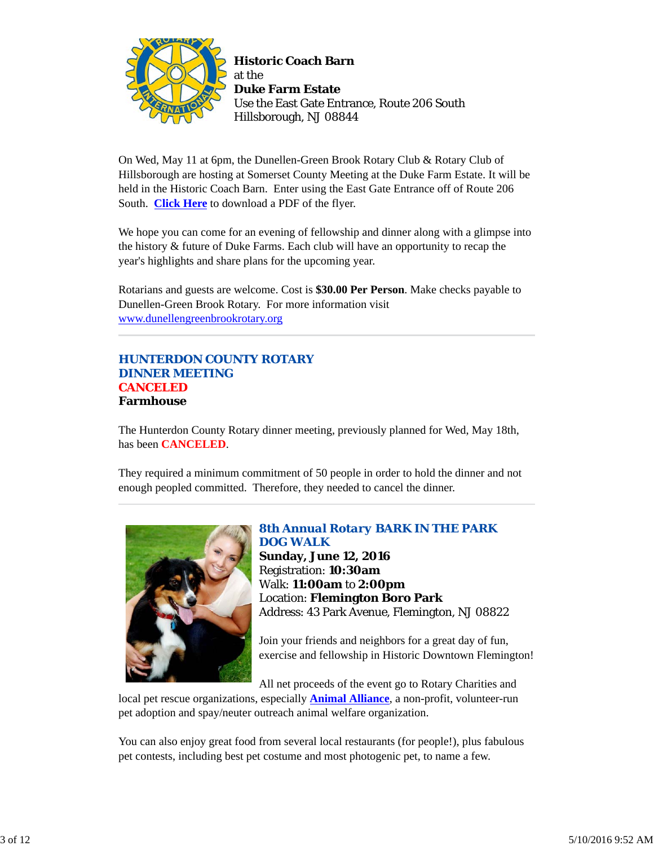

On Wed, May 11 at 6pm, the Dunellen-Green Brook Rotary Club & Rotary Club of Hillsborough are hosting at Somerset County Meeting at the Duke Farm Estate. It will be held in the Historic Coach Barn. Enter using the East Gate Entrance off of Route 206 South. **Click Here** to download a PDF of the flyer.

We hope you can come for an evening of fellowship and dinner along with a glimpse into the history & future of Duke Farms. Each club will have an opportunity to recap the year's highlights and share plans for the upcoming year.

Rotarians and guests are welcome. Cost is **\$30.00 Per Person**. Make checks payable to Dunellen-Green Brook Rotary. For more information visit www.dunellengreenbrookrotary.org

## *HUNTERDON COUNTY ROTARY DINNER MEETING* **CANCELED Farmhouse**

The Hunterdon County Rotary dinner meeting, previously planned for Wed, May 18th, has been **CANCELED**.

They required a minimum commitment of 50 people in order to hold the dinner and not enough peopled committed. Therefore, they needed to cancel the dinner.



# *8th Annual Rotary BARK IN THE PARK DOG WALK*

**Sunday, June 12, 2016** Registration: **10:30am** Walk: **11:00am** to **2:00pm** Location: **Flemington Boro Park** Address: 43 Park Avenue, Flemington, NJ 08822

Join your friends and neighbors for a great day of fun, exercise and fellowship in Historic Downtown Flemington!

All net proceeds of the event go to Rotary Charities and

local pet rescue organizations, especially **Animal Alliance**, a non-profit, volunteer-run pet adoption and spay/neuter outreach animal welfare organization.

You can also enjoy great food from several local restaurants (for people!), plus fabulous pet contests, including best pet costume and most photogenic pet, to name a few.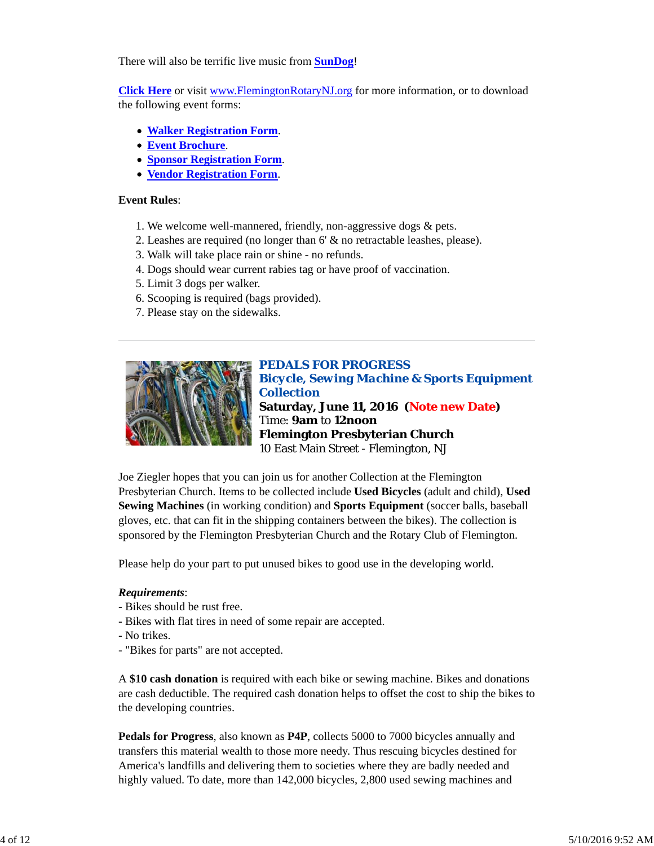There will also be terrific live music from **SunDog**!

**Click Here** or visit www.FlemingtonRotaryNJ.org for more information, or to download the following event forms:

- **Walker Registration Form**.
- **Event Brochure**.
- **Sponsor Registration Form**.
- **Vendor Registration Form**.

#### **Event Rules**:

- 1. We welcome well-mannered, friendly, non-aggressive dogs & pets.
- 2. Leashes are required (no longer than 6' & no retractable leashes, please).
- 3. Walk will take place rain or shine no refunds.
- 4. Dogs should wear current rabies tag or have proof of vaccination.
- 5. Limit 3 dogs per walker.
- 6. Scooping is required (bags provided).
- 7. Please stay on the sidewalks.



*PEDALS FOR PROGRESS Bicycle, Sewing Machine & Sports Equipment Collection* **Saturday, June 11, 2016 (Note new Date)** Time: **9am** to **12noon Flemington Presbyterian Church** 10 East Main Street - Flemington, NJ

Joe Ziegler hopes that you can join us for another Collection at the Flemington Presbyterian Church. Items to be collected include **Used Bicycles** (adult and child), **Used Sewing Machines** (in working condition) and **Sports Equipment** (soccer balls, baseball gloves, etc. that can fit in the shipping containers between the bikes). The collection is sponsored by the Flemington Presbyterian Church and the Rotary Club of Flemington.

Please help do your part to put unused bikes to good use in the developing world.

#### *Requirements*:

- Bikes should be rust free.
- Bikes with flat tires in need of some repair are accepted.
- No trikes.
- "Bikes for parts" are not accepted.

A **\$10 cash donation** is required with each bike or sewing machine. Bikes and donations are cash deductible. The required cash donation helps to offset the cost to ship the bikes to the developing countries.

**Pedals for Progress**, also known as **P4P**, collects 5000 to 7000 bicycles annually and transfers this material wealth to those more needy. Thus rescuing bicycles destined for America's landfills and delivering them to societies where they are badly needed and highly valued. To date, more than 142,000 bicycles, 2,800 used sewing machines and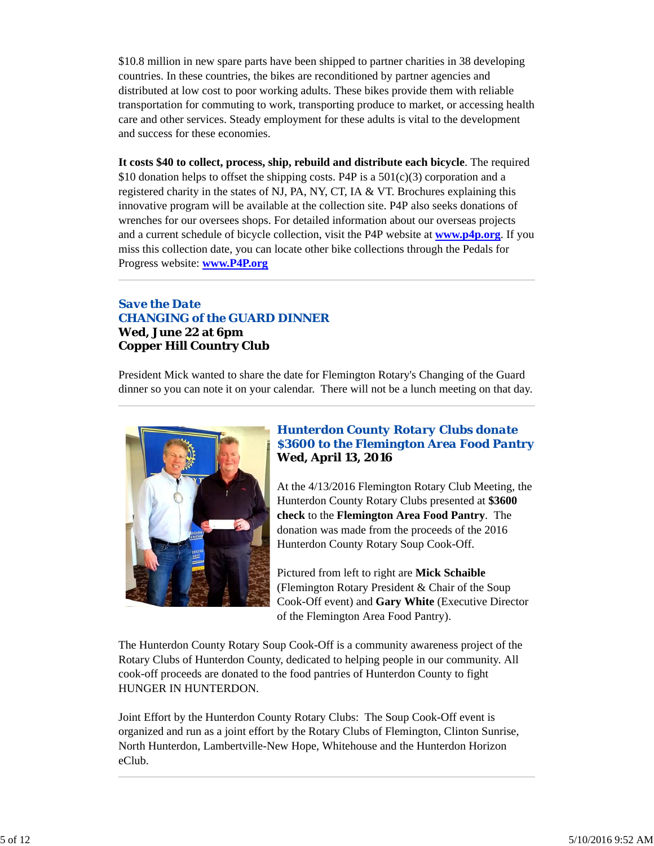\$10.8 million in new spare parts have been shipped to partner charities in 38 developing countries. In these countries, the bikes are reconditioned by partner agencies and distributed at low cost to poor working adults. These bikes provide them with reliable transportation for commuting to work, transporting produce to market, or accessing health care and other services. Steady employment for these adults is vital to the development and success for these economies.

**It costs \$40 to collect, process, ship, rebuild and distribute each bicycle**. The required \$10 donation helps to offset the shipping costs. P4P is a  $501(c)(3)$  corporation and a registered charity in the states of NJ, PA, NY, CT, IA & VT. Brochures explaining this innovative program will be available at the collection site. P4P also seeks donations of wrenches for our oversees shops. For detailed information about our overseas projects and a current schedule of bicycle collection, visit the P4P website at **www.p4p.org**. If you miss this collection date, you can locate other bike collections through the Pedals for Progress website: **www.P4P.org**

## *Save the Date CHANGING of the GUARD DINNER* **Wed, June 22 at 6pm Copper Hill Country Club**

President Mick wanted to share the date for Flemington Rotary's Changing of the Guard dinner so you can note it on your calendar. There will not be a lunch meeting on that day.



## *Hunterdon County Rotary Clubs donate \$3600 to the Flemington Area Food Pantry* **Wed, April 13, 2016**

At the 4/13/2016 Flemington Rotary Club Meeting, the Hunterdon County Rotary Clubs presented at **\$3600 check** to the **Flemington Area Food Pantry**. The donation was made from the proceeds of the 2016 Hunterdon County Rotary Soup Cook-Off.

Pictured from left to right are **Mick Schaible** (Flemington Rotary President & Chair of the Soup Cook-Off event) and **Gary White** (Executive Director of the Flemington Area Food Pantry).

The Hunterdon County Rotary Soup Cook-Off is a community awareness project of the Rotary Clubs of Hunterdon County, dedicated to helping people in our community. All cook-off proceeds are donated to the food pantries of Hunterdon County to fight HUNGER IN HUNTERDON.

Joint Effort by the Hunterdon County Rotary Clubs: The Soup Cook-Off event is organized and run as a joint effort by the Rotary Clubs of Flemington, Clinton Sunrise, North Hunterdon, Lambertville-New Hope, Whitehouse and the Hunterdon Horizon eClub.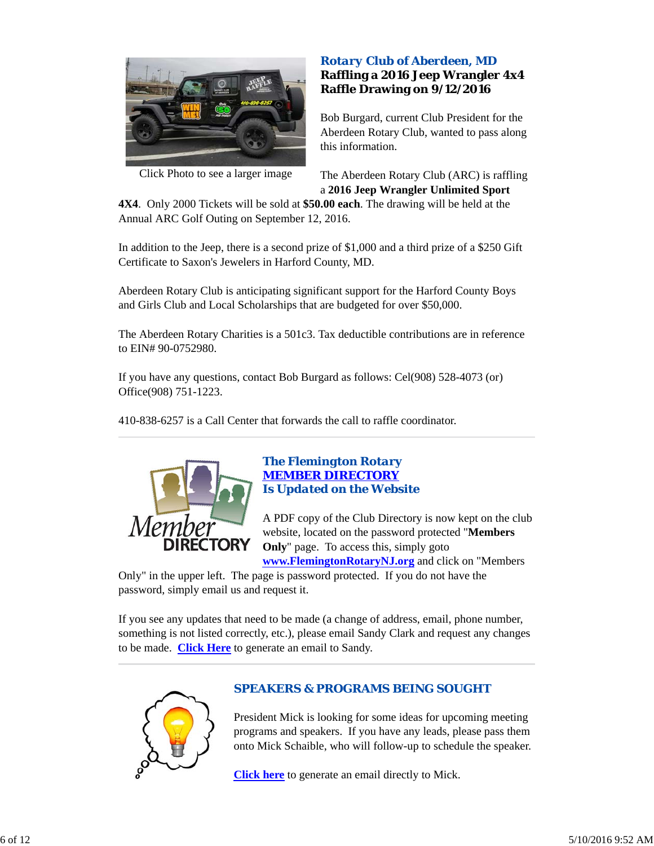

Click Photo to see a larger image

## *Rotary Club of Aberdeen, MD* **Raffling a 2016 Jeep Wrangler 4x4 Raffle Drawing on 9/12/2016**

Bob Burgard, current Club President for the Aberdeen Rotary Club, wanted to pass along this information.

The Aberdeen Rotary Club (ARC) is raffling a **2016 Jeep Wrangler Unlimited Sport**

**4X4**. Only 2000 Tickets will be sold at **\$50.00 each**. The drawing will be held at the Annual ARC Golf Outing on September 12, 2016.

In addition to the Jeep, there is a second prize of \$1,000 and a third prize of a \$250 Gift Certificate to Saxon's Jewelers in Harford County, MD.

Aberdeen Rotary Club is anticipating significant support for the Harford County Boys and Girls Club and Local Scholarships that are budgeted for over \$50,000.

The Aberdeen Rotary Charities is a 501c3. Tax deductible contributions are in reference to EIN# 90-0752980.

If you have any questions, contact Bob Burgard as follows: Cel(908) 528-4073 (or) Office(908) 751-1223.

410-838-6257 is a Call Center that forwards the call to raffle coordinator.



## *The Flemington Rotary MEMBER DIRECTORY Is Updated on the Website*

A PDF copy of the Club Directory is now kept on the club website, located on the password protected "**Members Only**" page. To access this, simply goto **www.FlemingtonRotaryNJ.org** and click on "Members

Only" in the upper left. The page is password protected. If you do not have the password, simply email us and request it.

If you see any updates that need to be made (a change of address, email, phone number, something is not listed correctly, etc.), please email Sandy Clark and request any changes to be made. **Click Here** to generate an email to Sandy.



## *SPEAKERS & PROGRAMS BEING SOUGHT*

President Mick is looking for some ideas for upcoming meeting programs and speakers. If you have any leads, please pass them onto Mick Schaible, who will follow-up to schedule the speaker.

**Click here** to generate an email directly to Mick.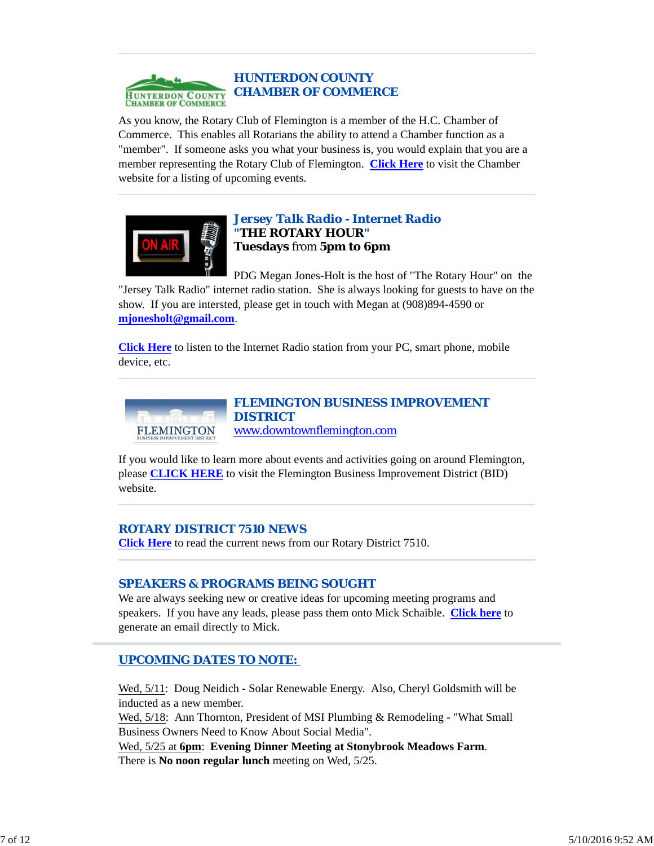

As you know, the Rotary Club of Flemington is a member of the H.C. Chamber of Commerce. This enables all Rotarians the ability to attend a Chamber function as a "member". If someone asks you what your business is, you would explain that you are a member representing the Rotary Club of Flemington. **Click Here** to visit the Chamber website for a listing of upcoming events.



## *Jersey Talk Radio - Internet Radio "THE ROTARY HOUR"* **Tuesdays** from **5pm to 6pm**

PDG Megan Jones-Holt is the host of "The Rotary Hour" on the "Jersey Talk Radio" internet radio station. She is always looking for guests to have on the show. If you are intersted, please get in touch with Megan at (908)894-4590 or **mjonesholt@gmail.com**.

**Click Here** to listen to the Internet Radio station from your PC, smart phone, mobile device, etc.



# www.downtownflemington.com

If you would like to learn more about events and activities going on around Flemington, please **CLICK HERE** to visit the Flemington Business Improvement District (BID) website.

## *ROTARY DISTRICT 7510 NEWS*

**Click Here** to read the current news from our Rotary District 7510.

## *SPEAKERS & PROGRAMS BEING SOUGHT*

We are always seeking new or creative ideas for upcoming meeting programs and speakers. If you have any leads, please pass them onto Mick Schaible. **Click here** to generate an email directly to Mick.

## *UPCOMING DATES TO NOTE:*

Wed, 5/11: Doug Neidich - Solar Renewable Energy. Also, Cheryl Goldsmith will be inducted as a new member.

Wed, 5/18: Ann Thornton, President of MSI Plumbing & Remodeling - "What Small Business Owners Need to Know About Social Media".

Wed, 5/25 at **6pm**: **Evening Dinner Meeting at Stonybrook Meadows Farm**. There is **No noon regular lunch** meeting on Wed, 5/25.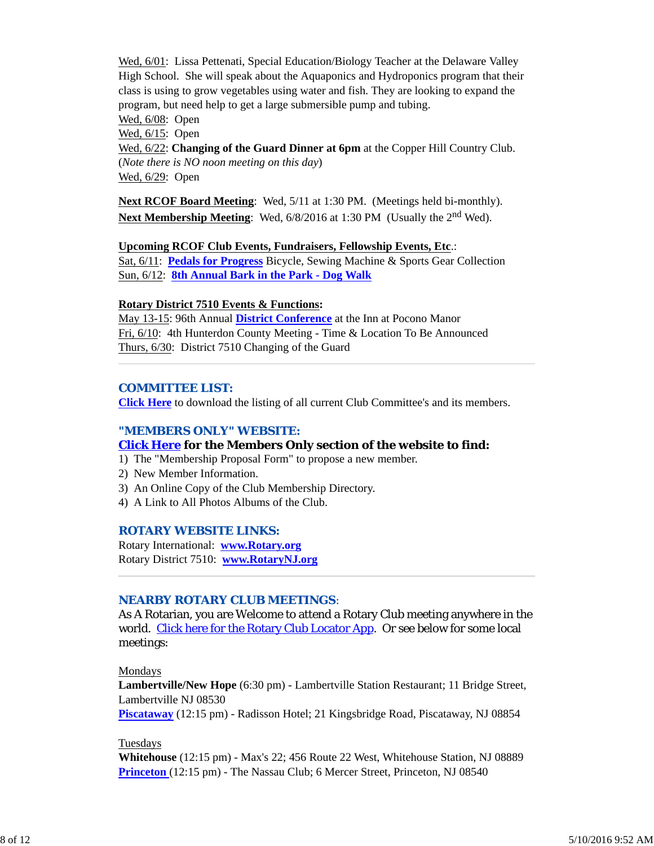Wed, 6/01: Lissa Pettenati, Special Education/Biology Teacher at the Delaware Valley High School. She will speak about the Aquaponics and Hydroponics program that their class is using to grow vegetables using water and fish. They are looking to expand the program, but need help to get a large submersible pump and tubing.

Wed, 6/08: Open

Wed, 6/15: Open

Wed, 6/22: **Changing of the Guard Dinner at 6pm** at the Copper Hill Country Club. (*Note there is NO noon meeting on this day*) Wed, 6/29: Open

**Next RCOF Board Meeting**: Wed, 5/11 at 1:30 PM. (Meetings held bi-monthly). **Next Membership Meeting**: Wed, 6/8/2016 at 1:30 PM (Usually the 2<sup>nd</sup> Wed).

#### **Upcoming RCOF Club Events, Fundraisers, Fellowship Events, Etc**.: Sat, 6/11: **Pedals for Progress** Bicycle, Sewing Machine & Sports Gear Collection

Sun, 6/12: **8th Annual Bark in the Park - Dog Walk**

## **Rotary District 7510 Events & Functions:**

May 13-15: 96th Annual **District Conference** at the Inn at Pocono Manor Fri, 6/10: 4th Hunterdon County Meeting - Time & Location To Be Announced Thurs, 6/30: District 7510 Changing of the Guard

## *COMMITTEE LIST:*

**Click Here** to download the listing of all current Club Committee's and its members.

### *"MEMBERS ONLY" WEBSITE:*

### **Click Here for the Members Only section of the website to find:**

- 1) The "Membership Proposal Form" to propose a new member.
- 2) New Member Information.
- 3) An Online Copy of the Club Membership Directory.
- 4) A Link to All Photos Albums of the Club.

### *ROTARY WEBSITE LINKS:*

Rotary International: **www.Rotary.org** Rotary District 7510: **www.RotaryNJ.org**

### *NEARBY ROTARY CLUB MEETINGS:*

As A Rotarian, you are Welcome to attend a Rotary Club meeting anywhere in the world. Click here for the Rotary Club Locator App. Or see below for some local meetings:

Mondays

**Lambertville/New Hope** (6:30 pm) - Lambertville Station Restaurant; 11 Bridge Street, Lambertville NJ 08530

**Piscataway** (12:15 pm) - Radisson Hotel; 21 Kingsbridge Road, Piscataway, NJ 08854

### Tuesdays

**Whitehouse** (12:15 pm) - Max's 22; 456 Route 22 West, Whitehouse Station, NJ 08889 **Princeton** (12:15 pm) - The Nassau Club; 6 Mercer Street, Princeton, NJ 08540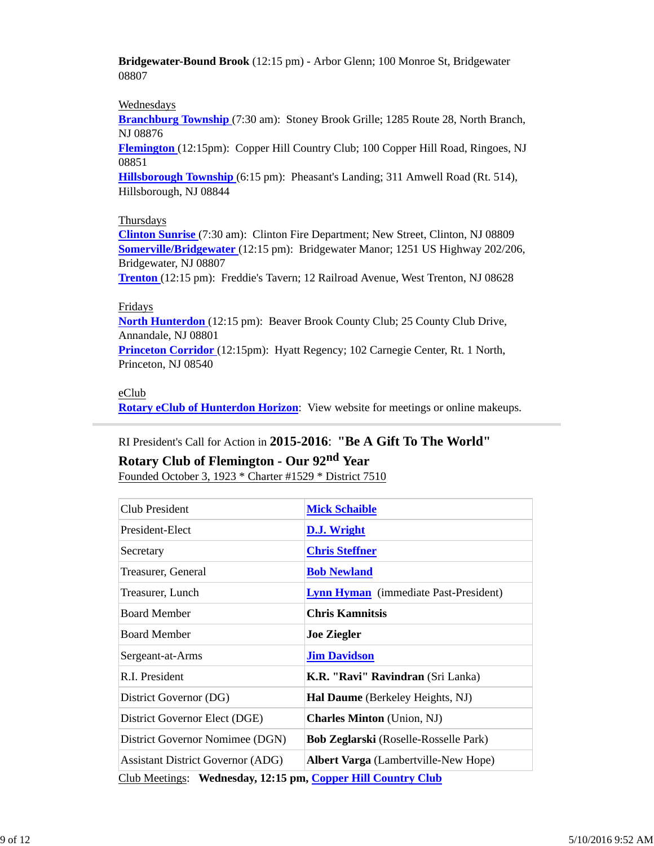**Bridgewater-Bound Brook** (12:15 pm) - Arbor Glenn; 100 Monroe St, Bridgewater 08807

### Wednesdays

**Branchburg Township** (7:30 am): Stoney Brook Grille; 1285 Route 28, North Branch, NJ 08876

**Flemington** (12:15pm): Copper Hill Country Club; 100 Copper Hill Road, Ringoes, NJ 08851

**Hillsborough Township** (6:15 pm): Pheasant's Landing; 311 Amwell Road (Rt. 514), Hillsborough, NJ 08844

#### **Thursdays**

**Clinton Sunrise** (7:30 am): Clinton Fire Department; New Street, Clinton, NJ 08809 **Somerville/Bridgewater** (12:15 pm): Bridgewater Manor; 1251 US Highway 202/206, Bridgewater, NJ 08807

**Trenton** (12:15 pm): Freddie's Tavern; 12 Railroad Avenue, West Trenton, NJ 08628

## Fridays

**North Hunterdon** (12:15 pm): Beaver Brook County Club; 25 County Club Drive, Annandale, NJ 08801

**Princeton Corridor** (12:15pm): Hyatt Regency; 102 Carnegie Center, Rt. 1 North, Princeton, NJ 08540

## eClub

**Rotary eClub of Hunterdon Horizon**: View website for meetings or online makeups.

## RI President's Call for Action in **2015-2016**: **"Be A Gift To The World"**

## **Rotary Club of Flemington - Our 92nd Year**

Founded October 3, 1923 \* Charter #1529 \* District 7510

| Club President                                               | <b>Mick Schaible</b>                         |  |  |  |
|--------------------------------------------------------------|----------------------------------------------|--|--|--|
| President-Elect                                              | D.J. Wright                                  |  |  |  |
| Secretary                                                    | <b>Chris Steffner</b>                        |  |  |  |
| Treasurer, General                                           | <b>Bob Newland</b>                           |  |  |  |
| Treasurer, Lunch                                             | <b>Lynn Hyman</b> (immediate Past-President) |  |  |  |
| <b>Board Member</b>                                          | <b>Chris Kamnitsis</b>                       |  |  |  |
| <b>Board Member</b>                                          | <b>Joe Ziegler</b>                           |  |  |  |
| Sergeant-at-Arms                                             | <b>Jim Davidson</b>                          |  |  |  |
| R.I. President                                               | K.R. "Ravi" Ravindran (Sri Lanka)            |  |  |  |
| District Governor (DG)                                       | Hal Daume (Berkeley Heights, NJ)             |  |  |  |
| District Governor Elect (DGE)                                | <b>Charles Minton</b> (Union, NJ)            |  |  |  |
| District Governor Nomimee (DGN)                              | <b>Bob Zeglarski</b> (Roselle-Rosselle Park) |  |  |  |
| <b>Assistant District Governor (ADG)</b>                     | <b>Albert Varga</b> (Lambertville-New Hope)  |  |  |  |
| Club Meetings: Wednesday, 12:15 pm, Copper Hill Country Club |                                              |  |  |  |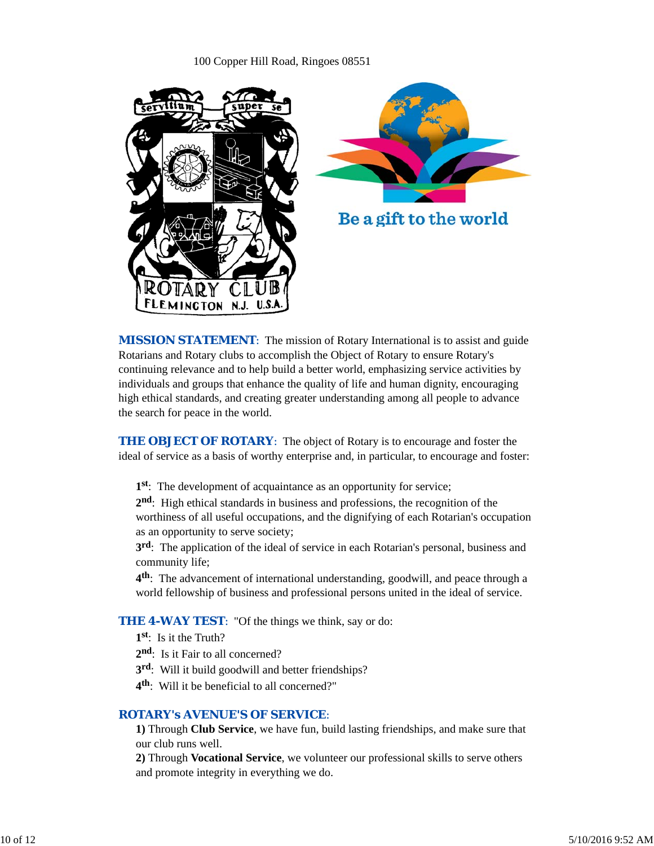#### 100 Copper Hill Road, Ringoes 08551



*MISSION STATEMENT*: The mission of Rotary International is to assist and guide Rotarians and Rotary clubs to accomplish the Object of Rotary to ensure Rotary's continuing relevance and to help build a better world, emphasizing service activities by individuals and groups that enhance the quality of life and human dignity, encouraging high ethical standards, and creating greater understanding among all people to advance the search for peace in the world.

**THE OBJECT OF ROTARY:** The object of Rotary is to encourage and foster the ideal of service as a basis of worthy enterprise and, in particular, to encourage and foster:

**1st**: The development of acquaintance as an opportunity for service;

**2nd**: High ethical standards in business and professions, the recognition of the worthiness of all useful occupations, and the dignifying of each Rotarian's occupation as an opportunity to serve society;

**3rd**: The application of the ideal of service in each Rotarian's personal, business and community life;

**4th**: The advancement of international understanding, goodwill, and peace through a world fellowship of business and professional persons united in the ideal of service.

#### **THE 4-WAY TEST:** "Of the things we think, say or do:

- **1st**: Is it the Truth?
- 2<sup>nd</sup>: Is it Fair to all concerned?
- **3rd**: Will it build goodwill and better friendships?
- **4th**: Will it be beneficial to all concerned?"

#### *ROTARY's AVENUE'S OF SERVICE*:

**1)** Through **Club Service**, we have fun, build lasting friendships, and make sure that our club runs well.

**2)** Through **Vocational Service**, we volunteer our professional skills to serve others and promote integrity in everything we do.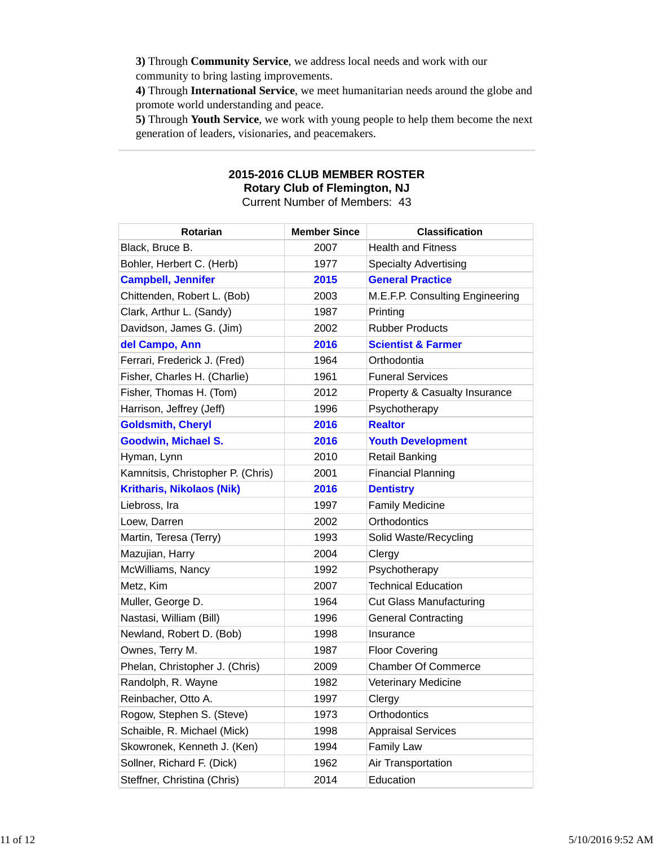**3)** Through **Community Service**, we address local needs and work with our community to bring lasting improvements.

**4)** Through **International Service**, we meet humanitarian needs around the globe and promote world understanding and peace.

**5)** Through **Youth Service**, we work with young people to help them become the next generation of leaders, visionaries, and peacemakers.

#### **2015-2016 CLUB MEMBER ROSTER Rotary Club of Flemington, NJ** Current Number of Members: 43

| Rotarian                          | <b>Member Since</b> | <b>Classification</b>           |
|-----------------------------------|---------------------|---------------------------------|
| Black, Bruce B.                   | 2007                | <b>Health and Fitness</b>       |
| Bohler, Herbert C. (Herb)         | 1977                | <b>Specialty Advertising</b>    |
| <b>Campbell, Jennifer</b>         | 2015                | <b>General Practice</b>         |
| Chittenden, Robert L. (Bob)       | 2003                | M.E.F.P. Consulting Engineering |
| Clark, Arthur L. (Sandy)          | 1987                | Printing                        |
| Davidson, James G. (Jim)          | 2002                | <b>Rubber Products</b>          |
| del Campo, Ann                    | 2016                | <b>Scientist &amp; Farmer</b>   |
| Ferrari, Frederick J. (Fred)      | 1964                | Orthodontia                     |
| Fisher, Charles H. (Charlie)      | 1961                | <b>Funeral Services</b>         |
| Fisher, Thomas H. (Tom)           | 2012                | Property & Casualty Insurance   |
| Harrison, Jeffrey (Jeff)          | 1996                | Psychotherapy                   |
| <b>Goldsmith, Cheryl</b>          | 2016                | <b>Realtor</b>                  |
| <b>Goodwin, Michael S.</b>        | 2016                | <b>Youth Development</b>        |
| Hyman, Lynn                       | 2010                | <b>Retail Banking</b>           |
| Kamnitsis, Christopher P. (Chris) | 2001                | <b>Financial Planning</b>       |
| <b>Kritharis, Nikolaos (Nik)</b>  | 2016                | <b>Dentistry</b>                |
| Liebross, Ira                     | 1997                | <b>Family Medicine</b>          |
| Loew, Darren                      | 2002                | Orthodontics                    |
| Martin, Teresa (Terry)            | 1993                | Solid Waste/Recycling           |
| Mazujian, Harry                   | 2004                | Clergy                          |
| McWilliams, Nancy                 | 1992                | Psychotherapy                   |
| Metz, Kim                         | 2007                | <b>Technical Education</b>      |
| Muller, George D.                 | 1964                | <b>Cut Glass Manufacturing</b>  |
| Nastasi, William (Bill)           | 1996                | <b>General Contracting</b>      |
| Newland, Robert D. (Bob)          | 1998                | Insurance                       |
| Ownes, Terry M.                   | 1987                | <b>Floor Covering</b>           |
| Phelan, Christopher J. (Chris)    | 2009                | <b>Chamber Of Commerce</b>      |
| Randolph, R. Wayne                | 1982                | <b>Veterinary Medicine</b>      |
| Reinbacher, Otto A.               | 1997                | Clergy                          |
| Rogow, Stephen S. (Steve)         | 1973                | Orthodontics                    |
| Schaible, R. Michael (Mick)       | 1998                | <b>Appraisal Services</b>       |
| Skowronek, Kenneth J. (Ken)       | 1994                | Family Law                      |
| Sollner, Richard F. (Dick)        | 1962                | Air Transportation              |
| Steffner, Christina (Chris)       | 2014                | Education                       |